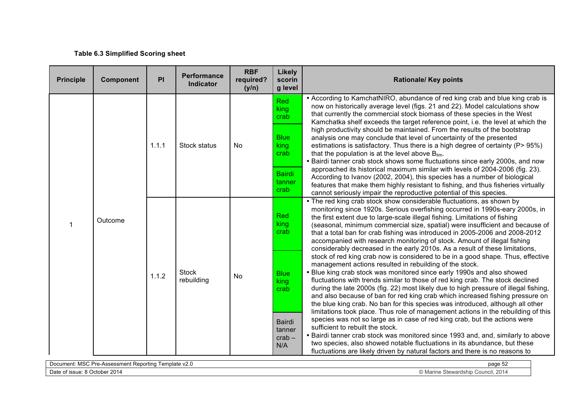## **Table 6.3 Simplified Scoring sheet**

| <b>Principle</b> | Component | PI           | <b>Performance</b><br><b>Indicator</b> | <b>RBF</b><br>required?<br>(y/n) | <b>Likely</b><br>scorin<br>g level                                                                                                                                                                                                                                                                                                                                                   | <b>Rationale/ Key points</b>                                                                                                                                                                                                                                                                                                                                                                                                                                                                                                                                                                                                                           |
|------------------|-----------|--------------|----------------------------------------|----------------------------------|--------------------------------------------------------------------------------------------------------------------------------------------------------------------------------------------------------------------------------------------------------------------------------------------------------------------------------------------------------------------------------------|--------------------------------------------------------------------------------------------------------------------------------------------------------------------------------------------------------------------------------------------------------------------------------------------------------------------------------------------------------------------------------------------------------------------------------------------------------------------------------------------------------------------------------------------------------------------------------------------------------------------------------------------------------|
|                  |           |              |                                        |                                  | Red<br>king<br>crab                                                                                                                                                                                                                                                                                                                                                                  | • According to KamchatNIRO, abundance of red king crab and blue king crab is<br>now on historically average level (figs. 21 and 22). Model calculations show<br>that currently the commercial stock biomass of these species in the West<br>Kamchatka shelf exceeds the target reference point, i.e. the level at which the                                                                                                                                                                                                                                                                                                                            |
|                  | 1.1.1     | Stock status | No                                     | <b>Blue</b><br>king<br>crab      | high productivity should be maintained. From the results of the bootstrap<br>analysis one may conclude that level of uncertainty of the presented<br>estimations is satisfactory. Thus there is a high degree of certainty (P> 95%)<br>that the population is at the level above $B_{\text{lim}}$ .<br>• Bairdi tanner crab stock shows some fluctuations since early 2000s, and now |                                                                                                                                                                                                                                                                                                                                                                                                                                                                                                                                                                                                                                                        |
|                  |           |              |                                        |                                  | <b>Bairdi</b><br>tanner<br>crab                                                                                                                                                                                                                                                                                                                                                      | approached its historical maximum similar with levels of 2004-2006 (fig. 23).<br>According to Ivanov (2002, 2004), this species has a number of biological<br>features that make them highly resistant to fishing, and thus fisheries virtually<br>cannot seriously impair the reproductive potential of this species.                                                                                                                                                                                                                                                                                                                                 |
| 1                | Outcome   |              |                                        |                                  | Red<br>king<br>crab                                                                                                                                                                                                                                                                                                                                                                  | • The red king crab stock show considerable fluctuations, as shown by<br>monitoring since 1920s. Serious overfishing occurred in 1990s-eary 2000s, in<br>the first extent due to large-scale illegal fishing. Limitations of fishing<br>(seasonal, minimum commercial size, spatial) were insufficient and because of<br>that a total ban for crab fishing was introduced in 2005-2006 and 2008-2012<br>accompanied with research monitoring of stock. Amount of illegal fishing<br>considerably decreased in the early 2010s. As a result of these limitations,                                                                                       |
|                  |           | 1.1.2        | <b>Stock</b><br>rebuilding             | No                               | <b>Blue</b><br>king<br>crab                                                                                                                                                                                                                                                                                                                                                          | stock of red king crab now is considered to be in a good shape. Thus, effective<br>management actions resulted in rebuilding of the stock.<br>• Blue king crab stock was monitored since early 1990s and also showed<br>fluctuations with trends similar to those of red king crab. The stock declined<br>during the late 2000s (fig. 22) most likely due to high pressure of illegal fishing,<br>and also because of ban for red king crab which increased fishing pressure on<br>the blue king crab. No ban for this species was introduced, although all other<br>limitations took place. Thus role of management actions in the rebuilding of this |
|                  |           |              |                                        |                                  | <b>Bairdi</b><br>tanner<br>$crab -$<br>N/A                                                                                                                                                                                                                                                                                                                                           | species was not so large as in case of red king crab, but the actions were<br>sufficient to rebuilt the stock.<br>. Bairdi tanner crab stock was monitored since 1993 and, and, similarly to above<br>two species, also showed notable fluctuations in its abundance, but these<br>fluctuations are likely driven by natural factors and there is no reasons to                                                                                                                                                                                                                                                                                        |

| $$ MQ $\cap$<br>Document.<br>Femplate v2.0<br>: Reportina<br><sup>∞</sup> °-Assessmen.<br>∽יי<br><b>NG U</b> | page 52                                                       |
|--------------------------------------------------------------------------------------------------------------|---------------------------------------------------------------|
| Date of issue.<br>-2014<br><b>UUUUT</b>                                                                      | Council, 201<br>ohin<br>: Stewardship<br>141 II I <del></del> |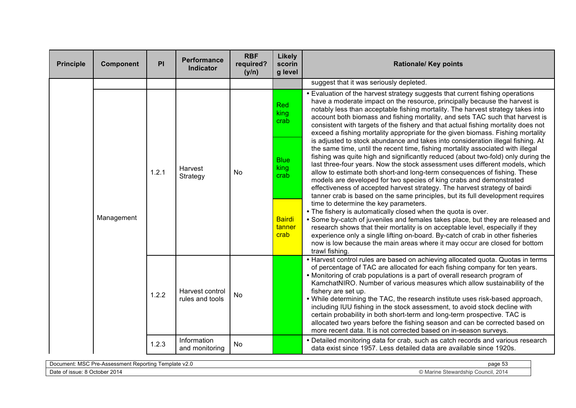| <b>Principle</b> | <b>Component</b> | PI    | Performance<br><b>Indicator</b>    | <b>RBF</b><br>required?<br>(y/n) | <b>Likely</b><br>scorin<br>g level | <b>Rationale/ Key points</b>                                                                                                                                                                                                                                                                                                                                                                                                                                                                                                                                                                                                                                                                                                                  |
|------------------|------------------|-------|------------------------------------|----------------------------------|------------------------------------|-----------------------------------------------------------------------------------------------------------------------------------------------------------------------------------------------------------------------------------------------------------------------------------------------------------------------------------------------------------------------------------------------------------------------------------------------------------------------------------------------------------------------------------------------------------------------------------------------------------------------------------------------------------------------------------------------------------------------------------------------|
|                  |                  |       |                                    |                                  |                                    | suggest that it was seriously depleted.                                                                                                                                                                                                                                                                                                                                                                                                                                                                                                                                                                                                                                                                                                       |
|                  |                  |       |                                    |                                  | <b>Red</b><br>king<br>crab         | . Evaluation of the harvest strategy suggests that current fishing operations<br>have a moderate impact on the resource, principally because the harvest is<br>notably less than acceptable fishing mortality. The harvest strategy takes into<br>account both biomass and fishing mortality, and sets TAC such that harvest is<br>consistent with targets of the fishery and that actual fishing mortality does not<br>exceed a fishing mortality appropriate for the given biomass. Fishing mortality                                                                                                                                                                                                                                       |
|                  |                  | 1.2.1 | Harvest<br>Strategy                | <b>No</b>                        | <b>Blue</b><br>king<br>crab        | is adjusted to stock abundance and takes into consideration illegal fishing. At<br>the same time, until the recent time, fishing mortality associated with illegal<br>fishing was quite high and significantly reduced (about two-fold) only during the<br>last three-four years. Now the stock assessment uses different models, which<br>allow to estimate both short-and long-term consequences of fishing. These<br>models are developed for two species of king crabs and demonstrated<br>effectiveness of accepted harvest strategy. The harvest strategy of bairdi<br>tanner crab is based on the same principles, but its full development requires                                                                                   |
|                  | Management       |       |                                    |                                  | <b>Bairdi</b><br>tanner<br>crab    | time to determine the key parameters.<br>. The fishery is automatically closed when the quota is over.<br>• Some by-catch of juveniles and females takes place, but they are released and<br>research shows that their mortality is on acceptable level, especially if they<br>experience only a single lifting on-board. By-catch of crab in other fisheries<br>now is low because the main areas where it may occur are closed for bottom<br>trawl fishing.                                                                                                                                                                                                                                                                                 |
|                  |                  | 1.2.2 | Harvest control<br>rules and tools | No                               |                                    | • Harvest control rules are based on achieving allocated quota. Quotas in terms<br>of percentage of TAC are allocated for each fishing company for ten years.<br>• Monitoring of crab populations is a part of overall research program of<br>KamchatNIRO. Number of various measures which allow sustainability of the<br>fishery are set up.<br>. While determining the TAC, the research institute uses risk-based approach,<br>including IUU fishing in the stock assessment, to avoid stock decline with<br>certain probability in both short-term and long-term prospective. TAC is<br>allocated two years before the fishing season and can be corrected based on<br>more recent data. It is not corrected based on in-season surveys. |
|                  |                  | 1.2.3 | Information<br>and monitoring      | No                               |                                    | • Detailed monitoring data for crab, such as catch records and various research<br>data exist since 1957. Less detailed data are available since 1920s.                                                                                                                                                                                                                                                                                                                                                                                                                                                                                                                                                                                       |

| $\cdots$<br>≅≏⊒emplate v∠.J<br>Document:<br>: Reportina<br>Assessmen.<br>Jr<br>MSC<br>.<br>$\overline{\phantom{a}}$ | _____<br>page 53                                  |
|---------------------------------------------------------------------------------------------------------------------|---------------------------------------------------|
| ober 201<br>Date of issue: 8<br>. $\lambda$<br>, ocione                                                             | Council, 2014<br>Stewardsh<br>$\sim$ , ividility. |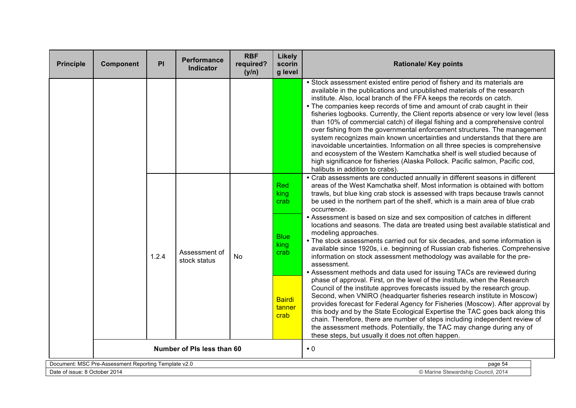| <b>Principle</b>              | <b>Component</b>                                     | PI    | <b>Performance</b><br>Indicator | <b>RBF</b><br>required?<br>(y/n) | Likely<br>scorin<br>g level     | <b>Rationale/ Key points</b>                                                                                                                                                                                                                                                                                                                                                                                                                                                                                                                                                                                                                                                                                                                                                                                                                                                                                         |
|-------------------------------|------------------------------------------------------|-------|---------------------------------|----------------------------------|---------------------------------|----------------------------------------------------------------------------------------------------------------------------------------------------------------------------------------------------------------------------------------------------------------------------------------------------------------------------------------------------------------------------------------------------------------------------------------------------------------------------------------------------------------------------------------------------------------------------------------------------------------------------------------------------------------------------------------------------------------------------------------------------------------------------------------------------------------------------------------------------------------------------------------------------------------------|
|                               |                                                      |       |                                 |                                  |                                 | • Stock assessment existed entire period of fishery and its materials are<br>available in the publications and unpublished materials of the research<br>institute. Also, local branch of the FFA keeps the records on catch.<br>• The companies keep records of time and amount of crab caught in their<br>fisheries logbooks. Currently, the Client reports absence or very low level (less<br>than 10% of commercial catch) of illegal fishing and a comprehensive control<br>over fishing from the governmental enforcement structures. The management<br>system recognizes main known uncertainties and understands that there are<br>inavoidable uncertainties. Information on all three species is comprehensive<br>and ecosystem of the Western Kamchatka shelf is well studied because of<br>high significance for fisheries (Alaska Pollock. Pacific salmon, Pacific cod,<br>halibuts in addition to crabs) |
|                               |                                                      |       |                                 |                                  | Red<br>king<br>crab             | • Crab assessments are conducted annually in different seasons in different<br>areas of the West Kamchatka shelf. Most information is obtained with bottom<br>trawls, but blue king crab stock is assessed with traps because trawls cannot<br>be used in the northern part of the shelf, which is a main area of blue crab<br>occurrence.                                                                                                                                                                                                                                                                                                                                                                                                                                                                                                                                                                           |
|                               |                                                      | 1.2.4 | Assessment of<br>stock status   | <b>No</b>                        | <b>Blue</b><br>king<br>crab     | • Assessment is based on size and sex composition of catches in different<br>locations and seasons. The data are treated using best available statistical and<br>modeling approaches.<br>• The stock assessments carried out for six decades, and some information is<br>available since 1920s, i.e. beginning of Russian crab fisheries. Comprehensive<br>information on stock assessment methodology was available for the pre-<br>assessment.<br>• Assessment methods and data used for issuing TACs are reviewed during                                                                                                                                                                                                                                                                                                                                                                                          |
|                               |                                                      |       |                                 |                                  | <b>Bairdi</b><br>tanner<br>crab | phase of approval. First, on the level of the institute, when the Research<br>Council of the institute approves forecasts issued by the research group.<br>Second, when VNIRO (headquarter fisheries research institute in Moscow)<br>provides forecast for Federal Agency for Fisheries (Moscow). After approval by<br>this body and by the State Ecological Expertise the TAC goes back along this<br>chain. Therefore, there are number of steps including independent review of<br>the assessment methods. Potentially, the TAC may change during any of<br>these steps, but usually it does not often happen.                                                                                                                                                                                                                                                                                                   |
|                               |                                                      |       | Number of PIs less than 60      |                                  |                                 | $\bullet$ 0                                                                                                                                                                                                                                                                                                                                                                                                                                                                                                                                                                                                                                                                                                                                                                                                                                                                                                          |
|                               | Document: MSC Pre-Assessment Reporting Template v2.0 |       |                                 |                                  |                                 | page 54                                                                                                                                                                                                                                                                                                                                                                                                                                                                                                                                                                                                                                                                                                                                                                                                                                                                                                              |
| Date of issue: 8 October 2014 |                                                      |       |                                 |                                  |                                 | © Marine Stewardship Council, 2014                                                                                                                                                                                                                                                                                                                                                                                                                                                                                                                                                                                                                                                                                                                                                                                                                                                                                   |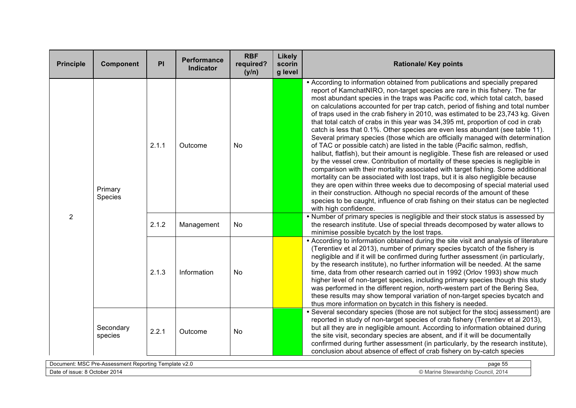| <b>Principle</b> | Component                                                       | PI    | <b>Performance</b><br><b>Indicator</b> | <b>RBF</b><br>required?<br>(y/n) | <b>Likely</b><br>scorin<br>g level | <b>Rationale/ Key points</b>                                                                                                                                                                                                                                                                                                                                                                                                                                                                                                                                                                                                                                                                                                                                                                                                                                                                                                                                                                                                                                                                                                                                                                                                                                                                                                                                                     |  |
|------------------|-----------------------------------------------------------------|-------|----------------------------------------|----------------------------------|------------------------------------|----------------------------------------------------------------------------------------------------------------------------------------------------------------------------------------------------------------------------------------------------------------------------------------------------------------------------------------------------------------------------------------------------------------------------------------------------------------------------------------------------------------------------------------------------------------------------------------------------------------------------------------------------------------------------------------------------------------------------------------------------------------------------------------------------------------------------------------------------------------------------------------------------------------------------------------------------------------------------------------------------------------------------------------------------------------------------------------------------------------------------------------------------------------------------------------------------------------------------------------------------------------------------------------------------------------------------------------------------------------------------------|--|
|                  | Primary<br>Species                                              | 2.1.1 | Outcome                                | No                               |                                    | • According to information obtained from publications and specially prepared<br>report of KamchatNIRO, non-target species are rare in this fishery. The far<br>most abundant species in the traps was Pacific cod, which total catch, based<br>on calculations accounted for per trap catch, period of fishing and total number<br>of traps used in the crab fishery in 2010, was estimated to be 23,743 kg. Given<br>that total catch of crabs in this year was 34,395 mt, proportion of cod in crab<br>catch is less that 0.1%. Other species are even less abundant (see table 11).<br>Several primary species (those which are officially managed with determination<br>of TAC or possible catch) are listed in the table (Pacific salmon, redfish,<br>halibut, flatfish), but their amount is negligible. These fish are released or used<br>by the vessel crew. Contribution of mortality of these species is negligible in<br>comparison with their mortality associated with target fishing. Some additional<br>mortality can be associated with lost traps, but it is also negligible because<br>they are open within three weeks due to decomposing of special material used<br>in their construction. Although no special records of the amount of these<br>species to be caught, influence of crab fishing on their status can be neglected<br>with high confidence. |  |
| 2                |                                                                 | 2.1.2 | Management                             | <b>No</b>                        |                                    | . Number of primary species is negligible and their stock status is assessed by<br>the research institute. Use of special threads decomposed by water allows to<br>minimise possible bycatch by the lost traps.                                                                                                                                                                                                                                                                                                                                                                                                                                                                                                                                                                                                                                                                                                                                                                                                                                                                                                                                                                                                                                                                                                                                                                  |  |
|                  |                                                                 | 2.1.3 | Information                            | No                               |                                    | • According to information obtained during the site visit and analysis of literature<br>(Terentiev et al 2013), number of primary species bycatch of the fishery is<br>negligible and if it will be confirmed during further assessment (in particularly,<br>by the research institute), no further information will be needed. At the same<br>time, data from other research carried out in 1992 (Orlov 1993) show much<br>higher level of non-target species, including primary species though this study<br>was performed in the different region, north-western part of the Bering Sea,<br>these results may show temporal variation of non-target species bycatch and<br>thus more information on bycatch in this fishery is needed.                                                                                                                                                                                                                                                                                                                                                                                                                                                                                                                                                                                                                                        |  |
|                  | Secondary<br>species                                            | 2.2.1 | Outcome                                | No                               |                                    | • Several secondary species (those are not subject for the stocj assessment) are<br>reported in study of non-target species of crab fishery (Terentiev et al 2013),<br>but all they are in negligible amount. According to information obtained during<br>the site visit, secondary species are absent, and if it will be documentally<br>confirmed during further assessment (in particularly, by the research institute),<br>conclusion about absence of effect of crab fishery on by-catch species                                                                                                                                                                                                                                                                                                                                                                                                                                                                                                                                                                                                                                                                                                                                                                                                                                                                            |  |
|                  | Document: MSC Pre-Assessment Reporting Template v2.0<br>page 55 |       |                                        |                                  |                                    |                                                                                                                                                                                                                                                                                                                                                                                                                                                                                                                                                                                                                                                                                                                                                                                                                                                                                                                                                                                                                                                                                                                                                                                                                                                                                                                                                                                  |  |

Date of issue: 8 October 2014 **Connect Act and Stewardship Council**, 2014 **Connect Act and Stewardship Council**, 2014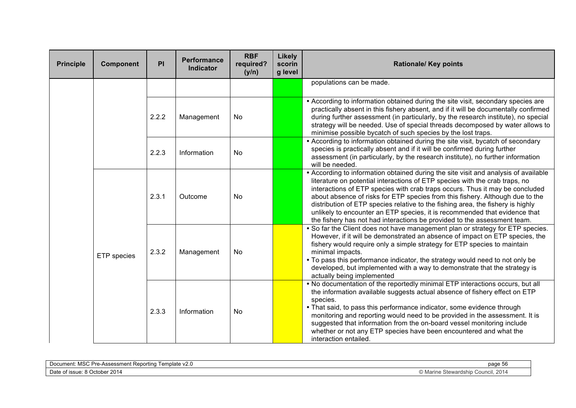| <b>Principle</b> | Component   | PI    | Performance<br><b>Indicator</b> | <b>RBF</b><br>required?<br>(y/n) | <b>Likely</b><br>scorin<br>g level | <b>Rationale/ Key points</b>                                                                                                                                                                                                                                                                                                                                                                                                                                                                                                                                                     |
|------------------|-------------|-------|---------------------------------|----------------------------------|------------------------------------|----------------------------------------------------------------------------------------------------------------------------------------------------------------------------------------------------------------------------------------------------------------------------------------------------------------------------------------------------------------------------------------------------------------------------------------------------------------------------------------------------------------------------------------------------------------------------------|
|                  |             |       |                                 |                                  |                                    | populations can be made.                                                                                                                                                                                                                                                                                                                                                                                                                                                                                                                                                         |
|                  |             | 2.2.2 | Management                      | <b>No</b>                        |                                    | • According to information obtained during the site visit, secondary species are<br>practically absent in this fishery absent, and if it will be documentally confirmed<br>during further assessment (in particularly, by the research institute), no special<br>strategy will be needed. Use of special threads decomposed by water allows to<br>minimise possible bycatch of such species by the lost traps.                                                                                                                                                                   |
|                  |             | 2.2.3 | Information                     | No                               |                                    | • According to information obtained during the site visit, bycatch of secondary<br>species is practically absent and if it will be confirmed during further<br>assessment (in particularly, by the research institute), no further information<br>will be needed.                                                                                                                                                                                                                                                                                                                |
|                  |             | 2.3.1 | Outcome                         | No                               |                                    | • According to information obtained during the site visit and analysis of available<br>literature on potential interactions of ETP species with the crab traps, no<br>interactions of ETP species with crab traps occurs. Thus it may be concluded<br>about absence of risks for ETP species from this fishery. Although due to the<br>distribution of ETP species relative to the fishing area, the fishery is highly<br>unlikely to encounter an ETP species, it is recommended that evidence that<br>the fishery has not had interactions be provided to the assessment team. |
|                  | ETP species | 2.3.2 | Management                      | No                               |                                    | . So far the Client does not have management plan or strategy for ETP species.<br>However, if it will be demonstrated an absence of impact on ETP species, the<br>fishery would require only a simple strategy for ETP species to maintain<br>minimal impacts.<br>• To pass this performance indicator, the strategy would need to not only be<br>developed, but implemented with a way to demonstrate that the strategy is<br>actually being implemented                                                                                                                        |
|                  |             | 2.3.3 | Information                     | No                               |                                    | . No documentation of the reportedly minimal ETP interactions occurs, but all<br>the information available suggests actual absence of fishery effect on ETP<br>species.<br>• That said, to pass this performance indicator, some evidence through<br>monitoring and reporting would need to be provided in the assessment. It is<br>suggested that information from the on-board vessel monitoring include<br>whether or not any ETP species have been encountered and what the<br>interaction entailed.                                                                         |

| $\cdot$ $\cdot$ $\sim$<br>Template v2.0<br>≺eportina<br>:ument:<br><sup> u</sup> re-Assessment Report<br>וחו<br>MSC | page 56<br>---                                                    |
|---------------------------------------------------------------------------------------------------------------------|-------------------------------------------------------------------|
| $-2014$<br>∩atr<br>. d October ೧<br>⊧of issue: 8                                                                    | StQMP<br>Council, 2014<br>dship<br>пe<br><u>ivia</u><br>- Oltwai. |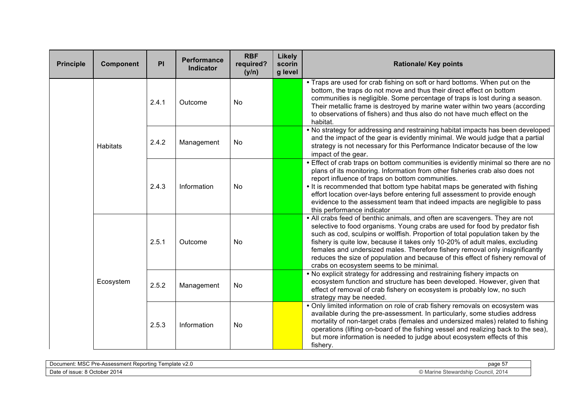| <b>Principle</b> | Component       | PI    | Performance<br><b>Indicator</b> | <b>RBF</b><br>required?<br>(y/n) | Likely<br>scorin<br>g level | <b>Rationale/ Key points</b>                                                                                                                                                                                                                                                                                                                                                                                                                                                                                                               |
|------------------|-----------------|-------|---------------------------------|----------------------------------|-----------------------------|--------------------------------------------------------------------------------------------------------------------------------------------------------------------------------------------------------------------------------------------------------------------------------------------------------------------------------------------------------------------------------------------------------------------------------------------------------------------------------------------------------------------------------------------|
|                  |                 | 2.4.1 | Outcome                         | No                               |                             | • Traps are used for crab fishing on soft or hard bottoms. When put on the<br>bottom, the traps do not move and thus their direct effect on bottom<br>communities is negligible. Some percentage of traps is lost during a season.<br>Their metallic frame is destroyed by marine water within two years (according<br>to observations of fishers) and thus also do not have much effect on the<br>habitat.                                                                                                                                |
|                  | <b>Habitats</b> | 2.4.2 | Management                      | No                               |                             | . No strategy for addressing and restraining habitat impacts has been developed<br>and the impact of the gear is evidently minimal. We would judge that a partial<br>strategy is not necessary for this Performance Indicator because of the low<br>impact of the gear.                                                                                                                                                                                                                                                                    |
|                  |                 | 2.4.3 | Information                     | <b>No</b>                        |                             | • Effect of crab traps on bottom communities is evidently minimal so there are no<br>plans of its monitoring. Information from other fisheries crab also does not<br>report influence of traps on bottom communities.<br>. It is recommended that bottom type habitat maps be generated with fishing<br>effort location over-lays before entering full assessment to provide enough<br>evidence to the assessment team that indeed impacts are negligible to pass<br>this performance indicator                                            |
|                  |                 | 2.5.1 | Outcome                         | No                               |                             | • All crabs feed of benthic animals, and often are scavengers. They are not<br>selective to food organisms. Young crabs are used for food by predator fish<br>such as cod, sculpins or wolffish. Proportion of total population taken by the<br>fishery is quite low, because it takes only 10-20% of adult males, excluding<br>females and undersized males. Therefore fishery removal only insignificantly<br>reduces the size of population and because of this effect of fishery removal of<br>crabs on ecosystem seems to be minimal. |
|                  | Ecosystem       | 2.5.2 | Management                      | <b>No</b>                        |                             | . No explicit strategy for addressing and restraining fishery impacts on<br>ecosystem function and structure has been developed. However, given that<br>effect of removal of crab fishery on ecosystem is probably low, no such<br>strategy may be needed.                                                                                                                                                                                                                                                                                 |
|                  |                 | 2.5.3 | Information                     | No                               |                             | . Only limited information on role of crab fishery removals on ecosystem was<br>available during the pre-assessment. In particularly, some studies address<br>mortality of non-target crabs (females and undersized males) related to fishing<br>operations (lifting on-board of the fishing vessel and realizing back to the sea),<br>but more information is needed to judge about ecosystem effects of this<br>fishery.                                                                                                                 |

| MCT<br>Femplate v2.0<br>Document:<br>≺eportino<br>Assessment<br>$Pre-$<br>--<br>,,,,,,,,, | ______<br>page                                |
|-------------------------------------------------------------------------------------------|-----------------------------------------------|
| ⊃ate<br>8 Octobe<br>: of issue:<br>-2014                                                  | Stewardship Council, 2014<br>$\sim$<br>11 I C |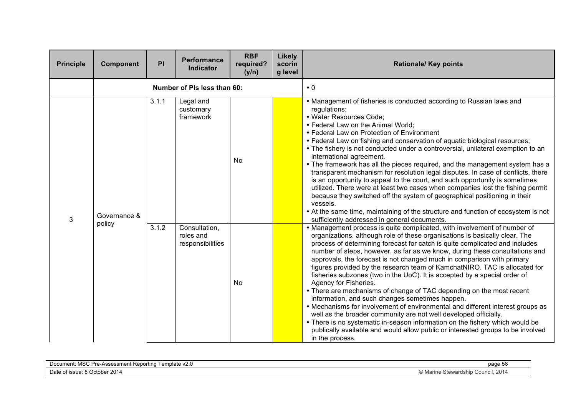| <b>Principle</b> | Component              | PI    | <b>Performance</b><br><b>Indicator</b>         | <b>RBF</b><br>required?<br>(y/n) | Likely<br>scorin<br>g level | <b>Rationale/ Key points</b>                                                                                                                                                                                                                                                                                                                                                                                                                                                                                                                                                                                                                                                                                                                                                                                                                                                                                                                                                                                                                               |
|------------------|------------------------|-------|------------------------------------------------|----------------------------------|-----------------------------|------------------------------------------------------------------------------------------------------------------------------------------------------------------------------------------------------------------------------------------------------------------------------------------------------------------------------------------------------------------------------------------------------------------------------------------------------------------------------------------------------------------------------------------------------------------------------------------------------------------------------------------------------------------------------------------------------------------------------------------------------------------------------------------------------------------------------------------------------------------------------------------------------------------------------------------------------------------------------------------------------------------------------------------------------------|
|                  |                        |       | Number of PIs less than 60:                    |                                  |                             | $\cdot$ 0                                                                                                                                                                                                                                                                                                                                                                                                                                                                                                                                                                                                                                                                                                                                                                                                                                                                                                                                                                                                                                                  |
| 3                | Governance &<br>policy | 3.1.1 | Legal and<br>customary<br>framework            | <b>No</b>                        |                             | • Management of fisheries is conducted according to Russian laws and<br>regulations:<br>· Water Resources Code;<br>• Federal Law on the Animal World;<br>• Federal Law on Protection of Environment<br>• Federal Law on fishing and conservation of aquatic biological resources;<br>• The fishery is not conducted under a controversial, unilateral exemption to an<br>international agreement.<br>• The framework has all the pieces required, and the management system has a<br>transparent mechanism for resolution legal disputes. In case of conflicts, there<br>is an opportunity to appeal to the court, and such opportunity is sometimes<br>utilized. There were at least two cases when companies lost the fishing permit<br>because they switched off the system of geographical positioning in their<br>vessels.<br>• At the same time, maintaining of the structure and function of ecosystem is not<br>sufficiently addressed in general documents.                                                                                       |
|                  |                        | 3.1.2 | Consultation,<br>roles and<br>responsibilities | <b>No</b>                        |                             | • Management process is quite complicated, with involvement of number of<br>organizations, although role of these organisations is basically clear. The<br>process of determining forecast for catch is quite complicated and includes<br>number of steps, however, as far as we know, during these consultations and<br>approvals, the forecast is not changed much in comparison with primary<br>figures provided by the research team of KamchatNIRO. TAC is allocated for<br>fisheries subzones (two in the UoC). It is accepted by a special order of<br>Agency for Fisheries.<br>• There are mechanisms of change of TAC depending on the most recent<br>information, and such changes sometimes happen.<br>• Mechanisms for involvement of environmental and different interest groups as<br>well as the broader community are not well developed officially.<br>• There is no systematic in-season information on the fishery which would be<br>publically available and would allow public or interested groups to be involved<br>in the process. |

| $\mathbf{1} \cdot \mathbf{1} \cdot \mathbf{1} \cdot \mathbf{1} \cdot \mathbf{1} \cdot \mathbf{1} \cdot \mathbf{1} \cdot \mathbf{1} \cdot \mathbf{1} \cdot \mathbf{1} \cdot \mathbf{1} \cdot \mathbf{1} \cdot \mathbf{1} \cdot \mathbf{1} \cdot \mathbf{1} \cdot \mathbf{1} \cdot \mathbf{1} \cdot \mathbf{1} \cdot \mathbf{1} \cdot \mathbf{1} \cdot \mathbf{1} \cdot \mathbf{1} \cdot \mathbf{1} \cdot \mathbf{1} \cdot \mathbf{1} \cdot \mathbf{1} \cdot \mathbf{1} \cdot \mathbf{$<br>` ≏mplate v2.∪<br>ocument)<br>≀an∩r<br>m≏nt<br>-re-Assess<br>MSC<br>16 UU I<br>1115 H.<br>້ | --<br>page 5ა<br>. |
|--------------------------------------------------------------------------------------------------------------------------------------------------------------------------------------------------------------------------------------------------------------------------------------------------------------------------------------------------------------------------------------------------------------------------------------------------------------------------------------------------------------------------------------------------------------------------------------|--------------------|
| $\degree$ 2014                                                                                                                                                                                                                                                                                                                                                                                                                                                                                                                                                                       | icil. 2014         |
| <b>Date</b>                                                                                                                                                                                                                                                                                                                                                                                                                                                                                                                                                                          | 100                |
| . October                                                                                                                                                                                                                                                                                                                                                                                                                                                                                                                                                                            | 25 Walusi II       |
| ി ISSUE: പ                                                                                                                                                                                                                                                                                                                                                                                                                                                                                                                                                                           | IV1C1              |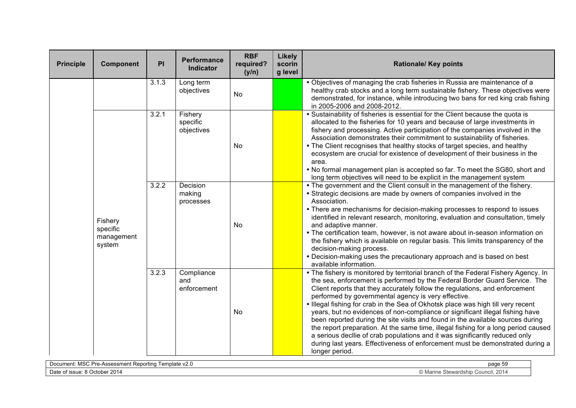| <b>Principle</b> | Component                                   | PI    | <b>Performance</b><br><b>Indicator</b> | <b>RBF</b><br>required?<br>(y/n) | <b>Likely</b><br>scorin<br>g level | <b>Rationale/ Key points</b>                                                                                                                                                                                                                                                                                                                                                                                                                                                                                                                                                                                                                                                                                                                                                                                                        |
|------------------|---------------------------------------------|-------|----------------------------------------|----------------------------------|------------------------------------|-------------------------------------------------------------------------------------------------------------------------------------------------------------------------------------------------------------------------------------------------------------------------------------------------------------------------------------------------------------------------------------------------------------------------------------------------------------------------------------------------------------------------------------------------------------------------------------------------------------------------------------------------------------------------------------------------------------------------------------------------------------------------------------------------------------------------------------|
|                  |                                             | 3.1.3 | Long term<br>objectives                | <b>No</b>                        |                                    | • Objectives of managing the crab fisheries in Russia are maintenance of a<br>healthy crab stocks and a long term sustainable fishery. These objectives were<br>demonstrated, for instance, while introducing two bans for red king crab fishing<br>in 2005-2006 and 2008-2012.                                                                                                                                                                                                                                                                                                                                                                                                                                                                                                                                                     |
|                  | Fishery<br>specific<br>management<br>system | 3.2.1 | Fishery<br>specific<br>objectives      | No                               |                                    | • Sustainability of fisheries is essential for the Client because the quota is<br>allocated to the fisheries for 10 years and because of large investments in<br>fishery and processing. Active participation of the companies involved in the<br>Association demonstrates their commitment to sustainability of fisheries.<br>. The Client recognises that healthy stocks of target species, and healthy<br>ecosystem are crucial for existence of development of their business in the<br>area.<br>. No formal management plan is accepted so far. To meet the SG80, short and<br>long term objectives will need to be explicit in the management system                                                                                                                                                                          |
|                  |                                             | 3.2.2 | Decision<br>making<br>processes        | <b>No</b>                        |                                    | • The government and the Client consult in the management of the fishery.<br>• Strategic decisions are made by owners of companies involved in the<br>Association.<br>• There are mechanisms for decision-making processes to respond to issues<br>identified in relevant research, monitoring, evaluation and consultation, timely<br>and adaptive manner.<br>• The certification team, however, is not aware about in-season information on<br>the fishery which is available on regular basis. This limits transparency of the<br>decision-making process.<br>• Decision-making uses the precautionary approach and is based on best<br>available information.                                                                                                                                                                   |
|                  |                                             | 3.2.3 | Compliance<br>and<br>enforcement       | No                               |                                    | • The fishery is monitored by territorial branch of the Federal Fishery Agency. In<br>the sea, enforcement is performed by the Federal Border Guard Service. The<br>Client reports that they accurately follow the regulations, and enforcement<br>performed by governmental agency is very effective.<br>Illegal fishing for crab in the Sea of Okhotsk place was high till very recent<br>years, but no evidences of non-compliance or significant illegal fishing have<br>been reported during the site visits and found in the available sources during<br>the report preparation. At the same time, illegal fishing for a long period caused<br>a serious decllie of crab populations and it was significantly reduced only<br>during last years. Effectiveness of enforcement must be demonstrated during a<br>longer period. |

| $\cdots$ $\cdots$<br>Template v2.0<br>Document<br>Jrc<br>` Repo.<br>™tına<br><sup>ง</sup> -Assessmenเ<br><b>NGC</b><br>. | page 5  |
|--------------------------------------------------------------------------------------------------------------------------|---------|
| 2014                                                                                                                     | 2014    |
| <b>Date</b>                                                                                                              | Council |
| ∸8 Octobe.                                                                                                               | ∕ Mar⊵  |
| : of issue∶                                                                                                              | hic     |